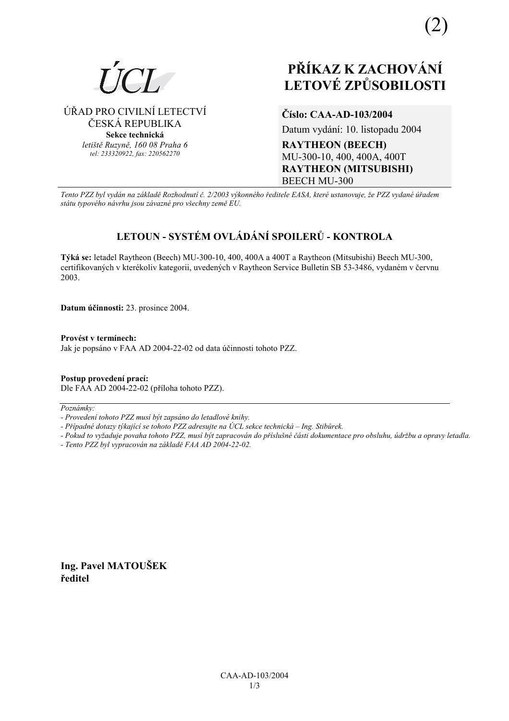

## ÚŘAD PRO CIVILNÍ LETECTVÍ ČESKÁ REPUBLIKA

Sekce technická letiště Ruzyně, 160 08 Praha 6 tel: 233320922, fax: 220562270

## Číslo: CAA-AD-103/2004

Datum vydání: 10. listopadu 2004

**RAYTHEON (BEECH)** MU-300-10, 400, 400A, 400T **RAYTHEON (MITSUBISHI) BEECH MU-300** 

Tento PZZ byl vydán na základě Rozhodnutí č. 2/2003 výkonného ředitele EASA, které ustanovuje, že PZZ vydané úřadem státu typového návrhu jsou závazné pro všechny země EU.

# LETOUN - SYSTÉM OVLÁDÁNÍ SPOILERŮ - KONTROLA

Týká se: letadel Raytheon (Beech) MU-300-10, 400, 400A a 400T a Raytheon (Mitsubishi) Beech MU-300, certifikovaných v kterékoliv kategorii, uvedených v Raytheon Service Bulletin SB 53-3486, vydaném v červnu 2003.

Datum účinnosti: 23. prosince 2004.

Provést v termínech: Jak je popsáno v FAA AD 2004-22-02 od data účinnosti tohoto PZZ.

Postup provedení prací: Dle FAA AD 2004-22-02 (příloha tohoto PZZ).

Poznámky:

- Pokud to vyžaduje povaha tohoto PZZ, musí být zapracován do příslušné části dokumentace pro obsluhu, údržbu a opravy letadla.

- Tento PZZ byl vypracován na základě FAA AD 2004-22-02.

Ing. Pavel MATOUŠEK ředitel

<sup>-</sup> Provedení tohoto PZZ musí být zapsáno do letadlové knihy.

<sup>-</sup> Případné dotazy týkající se tohoto PZZ adresujte na ÚCL sekce technická – Ing. Stibůrek.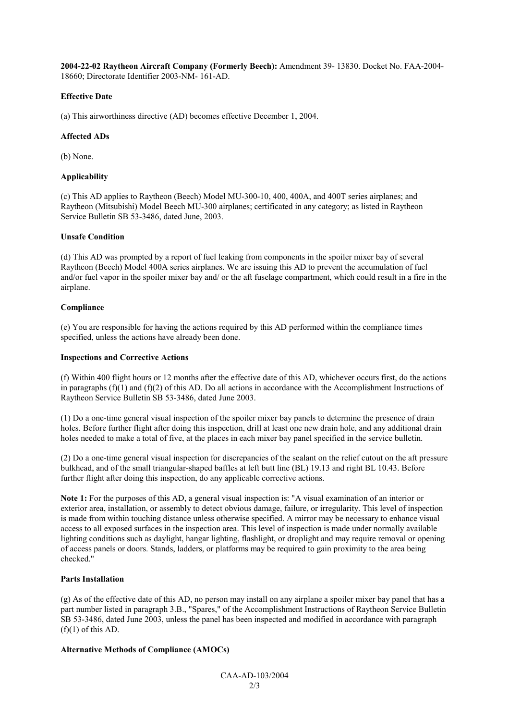**2004-22-02 Raytheon Aircraft Company (Formerly Beech):** Amendment 39- 13830. Docket No. FAA-2004- 18660; Directorate Identifier 2003-NM- 161-AD.

#### **Effective Date**

(a) This airworthiness directive (AD) becomes effective December 1, 2004.

#### **Affected ADs**

(b) None.

#### **Applicability**

(c) This AD applies to Raytheon (Beech) Model MU-300-10, 400, 400A, and 400T series airplanes; and Raytheon (Mitsubishi) Model Beech MU-300 airplanes; certificated in any category; as listed in Raytheon Service Bulletin SB 53-3486, dated June, 2003.

#### **Unsafe Condition**

(d) This AD was prompted by a report of fuel leaking from components in the spoiler mixer bay of several Raytheon (Beech) Model 400A series airplanes. We are issuing this AD to prevent the accumulation of fuel and/or fuel vapor in the spoiler mixer bay and/ or the aft fuselage compartment, which could result in a fire in the airplane.

#### **Compliance**

(e) You are responsible for having the actions required by this AD performed within the compliance times specified, unless the actions have already been done.

#### **Inspections and Corrective Actions**

(f) Within 400 flight hours or 12 months after the effective date of this AD, whichever occurs first, do the actions in paragraphs  $(f)(1)$  and  $(f)(2)$  of this AD. Do all actions in accordance with the Accomplishment Instructions of Raytheon Service Bulletin SB 53-3486, dated June 2003.

(1) Do a one-time general visual inspection of the spoiler mixer bay panels to determine the presence of drain holes. Before further flight after doing this inspection, drill at least one new drain hole, and any additional drain holes needed to make a total of five, at the places in each mixer bay panel specified in the service bulletin.

(2) Do a one-time general visual inspection for discrepancies of the sealant on the relief cutout on the aft pressure bulkhead, and of the small triangular-shaped baffles at left butt line (BL) 19.13 and right BL 10.43. Before further flight after doing this inspection, do any applicable corrective actions.

**Note 1:** For the purposes of this AD, a general visual inspection is: "A visual examination of an interior or exterior area, installation, or assembly to detect obvious damage, failure, or irregularity. This level of inspection is made from within touching distance unless otherwise specified. A mirror may be necessary to enhance visual access to all exposed surfaces in the inspection area. This level of inspection is made under normally available lighting conditions such as daylight, hangar lighting, flashlight, or droplight and may require removal or opening of access panels or doors. Stands, ladders, or platforms may be required to gain proximity to the area being checked."

### **Parts Installation**

(g) As of the effective date of this AD, no person may install on any airplane a spoiler mixer bay panel that has a part number listed in paragraph 3.B., "Spares," of the Accomplishment Instructions of Raytheon Service Bulletin SB 53-3486, dated June 2003, unless the panel has been inspected and modified in accordance with paragraph  $(f)(1)$  of this AD.

#### **Alternative Methods of Compliance (AMOCs)**